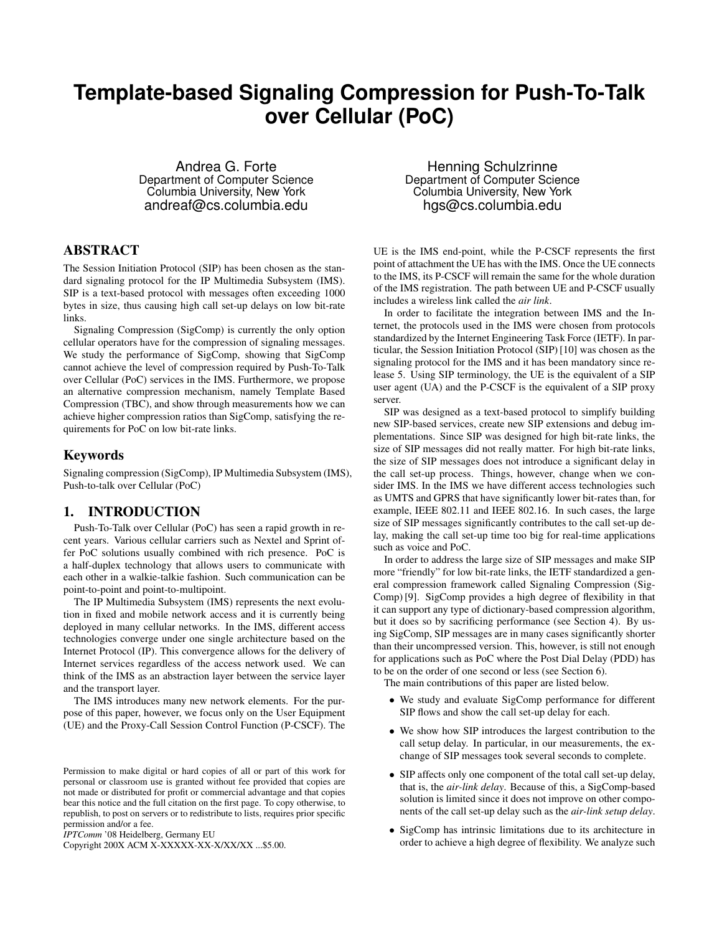# **Template-based Signaling Compression for Push-To-Talk over Cellular (PoC)**

Andrea G. Forte Department of Computer Science Columbia University, New York andreaf@cs.columbia.edu

# ABSTRACT

The Session Initiation Protocol (SIP) has been chosen as the standard signaling protocol for the IP Multimedia Subsystem (IMS). SIP is a text-based protocol with messages often exceeding 1000 bytes in size, thus causing high call set-up delays on low bit-rate links.

Signaling Compression (SigComp) is currently the only option cellular operators have for the compression of signaling messages. We study the performance of SigComp, showing that SigComp cannot achieve the level of compression required by Push-To-Talk over Cellular (PoC) services in the IMS. Furthermore, we propose an alternative compression mechanism, namely Template Based Compression (TBC), and show through measurements how we can achieve higher compression ratios than SigComp, satisfying the requirements for PoC on low bit-rate links.

# Keywords

Signaling compression (SigComp), IP Multimedia Subsystem (IMS), Push-to-talk over Cellular (PoC)

# 1. INTRODUCTION

Push-To-Talk over Cellular (PoC) has seen a rapid growth in recent years. Various cellular carriers such as Nextel and Sprint offer PoC solutions usually combined with rich presence. PoC is a half-duplex technology that allows users to communicate with each other in a walkie-talkie fashion. Such communication can be point-to-point and point-to-multipoint.

The IP Multimedia Subsystem (IMS) represents the next evolution in fixed and mobile network access and it is currently being deployed in many cellular networks. In the IMS, different access technologies converge under one single architecture based on the Internet Protocol (IP). This convergence allows for the delivery of Internet services regardless of the access network used. We can think of the IMS as an abstraction layer between the service layer and the transport layer.

The IMS introduces many new network elements. For the purpose of this paper, however, we focus only on the User Equipment (UE) and the Proxy-Call Session Control Function (P-CSCF). The

Copyright 200X ACM X-XXXXX-XX-X/XX/XX ...\$5.00.

Henning Schulzrinne Department of Computer Science Columbia University, New York hgs@cs.columbia.edu

UE is the IMS end-point, while the P-CSCF represents the first point of attachment the UE has with the IMS. Once the UE connects to the IMS, its P-CSCF will remain the same for the whole duration of the IMS registration. The path between UE and P-CSCF usually includes a wireless link called the *air link*.

In order to facilitate the integration between IMS and the Internet, the protocols used in the IMS were chosen from protocols standardized by the Internet Engineering Task Force (IETF). In particular, the Session Initiation Protocol (SIP) [10] was chosen as the signaling protocol for the IMS and it has been mandatory since release 5. Using SIP terminology, the UE is the equivalent of a SIP user agent (UA) and the P-CSCF is the equivalent of a SIP proxy server.

SIP was designed as a text-based protocol to simplify building new SIP-based services, create new SIP extensions and debug implementations. Since SIP was designed for high bit-rate links, the size of SIP messages did not really matter. For high bit-rate links, the size of SIP messages does not introduce a significant delay in the call set-up process. Things, however, change when we consider IMS. In the IMS we have different access technologies such as UMTS and GPRS that have significantly lower bit-rates than, for example, IEEE 802.11 and IEEE 802.16. In such cases, the large size of SIP messages significantly contributes to the call set-up delay, making the call set-up time too big for real-time applications such as voice and PoC.

In order to address the large size of SIP messages and make SIP more "friendly" for low bit-rate links, the IETF standardized a general compression framework called Signaling Compression (Sig-Comp) [9]. SigComp provides a high degree of flexibility in that it can support any type of dictionary-based compression algorithm, but it does so by sacrificing performance (see Section 4). By using SigComp, SIP messages are in many cases significantly shorter than their uncompressed version. This, however, is still not enough for applications such as PoC where the Post Dial Delay (PDD) has to be on the order of one second or less (see Section 6).

The main contributions of this paper are listed below.

- We study and evaluate SigComp performance for different SIP flows and show the call set-up delay for each.
- We show how SIP introduces the largest contribution to the call setup delay. In particular, in our measurements, the exchange of SIP messages took several seconds to complete.
- SIP affects only one component of the total call set-up delay, that is, the *air-link delay*. Because of this, a SigComp-based solution is limited since it does not improve on other components of the call set-up delay such as the *air-link setup delay*.
- SigComp has intrinsic limitations due to its architecture in order to achieve a high degree of flexibility. We analyze such

Permission to make digital or hard copies of all or part of this work for personal or classroom use is granted without fee provided that copies are not made or distributed for profit or commercial advantage and that copies bear this notice and the full citation on the first page. To copy otherwise, to republish, to post on servers or to redistribute to lists, requires prior specific permission and/or a fee.

*IPTComm* '08 Heidelberg, Germany EU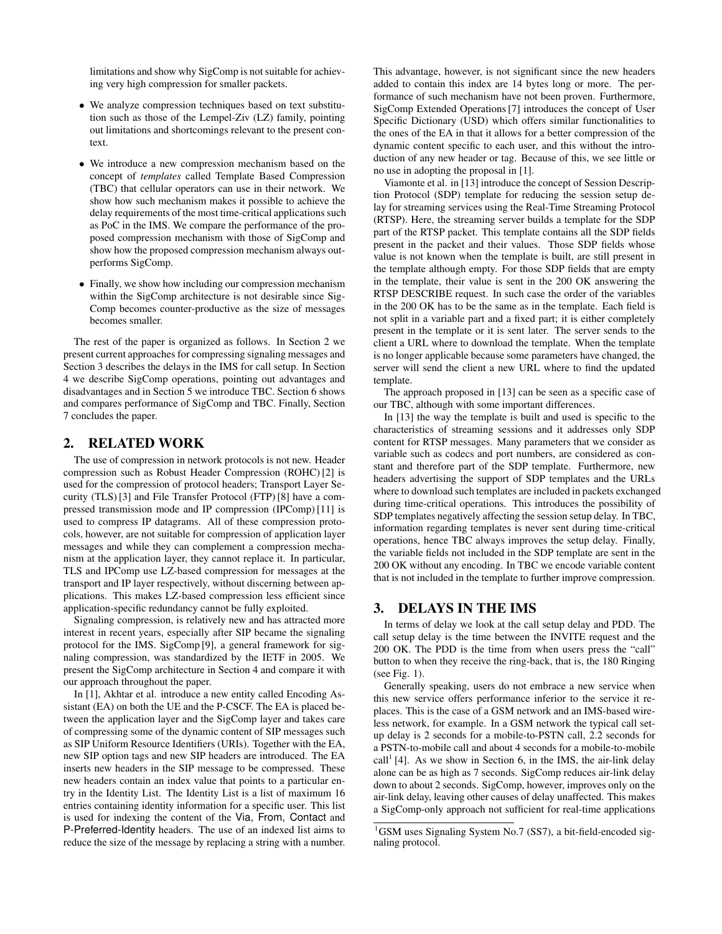limitations and show why SigComp is not suitable for achieving very high compression for smaller packets.

- We analyze compression techniques based on text substitution such as those of the Lempel-Ziv (LZ) family, pointing out limitations and shortcomings relevant to the present context.
- We introduce a new compression mechanism based on the concept of *templates* called Template Based Compression (TBC) that cellular operators can use in their network. We show how such mechanism makes it possible to achieve the delay requirements of the most time-critical applications such as PoC in the IMS. We compare the performance of the proposed compression mechanism with those of SigComp and show how the proposed compression mechanism always outperforms SigComp.
- Finally, we show how including our compression mechanism within the SigComp architecture is not desirable since Sig-Comp becomes counter-productive as the size of messages becomes smaller.

The rest of the paper is organized as follows. In Section 2 we present current approaches for compressing signaling messages and Section 3 describes the delays in the IMS for call setup. In Section 4 we describe SigComp operations, pointing out advantages and disadvantages and in Section 5 we introduce TBC. Section 6 shows and compares performance of SigComp and TBC. Finally, Section 7 concludes the paper.

# 2. RELATED WORK

The use of compression in network protocols is not new. Header compression such as Robust Header Compression (ROHC) [2] is used for the compression of protocol headers; Transport Layer Security (TLS) [3] and File Transfer Protocol (FTP) [8] have a compressed transmission mode and IP compression (IPComp) [11] is used to compress IP datagrams. All of these compression protocols, however, are not suitable for compression of application layer messages and while they can complement a compression mechanism at the application layer, they cannot replace it. In particular, TLS and IPComp use LZ-based compression for messages at the transport and IP layer respectively, without discerning between applications. This makes LZ-based compression less efficient since application-specific redundancy cannot be fully exploited.

Signaling compression, is relatively new and has attracted more interest in recent years, especially after SIP became the signaling protocol for the IMS. SigComp [9], a general framework for signaling compression, was standardized by the IETF in 2005. We present the SigComp architecture in Section 4 and compare it with our approach throughout the paper.

In [1], Akhtar et al. introduce a new entity called Encoding Assistant (EA) on both the UE and the P-CSCF. The EA is placed between the application layer and the SigComp layer and takes care of compressing some of the dynamic content of SIP messages such as SIP Uniform Resource Identifiers (URIs). Together with the EA, new SIP option tags and new SIP headers are introduced. The EA inserts new headers in the SIP message to be compressed. These new headers contain an index value that points to a particular entry in the Identity List. The Identity List is a list of maximum 16 entries containing identity information for a specific user. This list is used for indexing the content of the Via, From, Contact and P-Preferred-Identity headers. The use of an indexed list aims to reduce the size of the message by replacing a string with a number.

This advantage, however, is not significant since the new headers added to contain this index are 14 bytes long or more. The performance of such mechanism have not been proven. Furthermore, SigComp Extended Operations [7] introduces the concept of User Specific Dictionary (USD) which offers similar functionalities to the ones of the EA in that it allows for a better compression of the dynamic content specific to each user, and this without the introduction of any new header or tag. Because of this, we see little or no use in adopting the proposal in [1].

Viamonte et al. in [13] introduce the concept of Session Description Protocol (SDP) template for reducing the session setup delay for streaming services using the Real-Time Streaming Protocol (RTSP). Here, the streaming server builds a template for the SDP part of the RTSP packet. This template contains all the SDP fields present in the packet and their values. Those SDP fields whose value is not known when the template is built, are still present in the template although empty. For those SDP fields that are empty in the template, their value is sent in the 200 OK answering the RTSP DESCRIBE request. In such case the order of the variables in the 200 OK has to be the same as in the template. Each field is not split in a variable part and a fixed part; it is either completely present in the template or it is sent later. The server sends to the client a URL where to download the template. When the template is no longer applicable because some parameters have changed, the server will send the client a new URL where to find the updated template.

The approach proposed in [13] can be seen as a specific case of our TBC, although with some important differences.

In [13] the way the template is built and used is specific to the characteristics of streaming sessions and it addresses only SDP content for RTSP messages. Many parameters that we consider as variable such as codecs and port numbers, are considered as constant and therefore part of the SDP template. Furthermore, new headers advertising the support of SDP templates and the URLs where to download such templates are included in packets exchanged during time-critical operations. This introduces the possibility of SDP templates negatively affecting the session setup delay. In TBC, information regarding templates is never sent during time-critical operations, hence TBC always improves the setup delay. Finally, the variable fields not included in the SDP template are sent in the 200 OK without any encoding. In TBC we encode variable content that is not included in the template to further improve compression.

# 3. DELAYS IN THE IMS

In terms of delay we look at the call setup delay and PDD. The call setup delay is the time between the INVITE request and the 200 OK. The PDD is the time from when users press the "call" button to when they receive the ring-back, that is, the 180 Ringing (see Fig. 1).

Generally speaking, users do not embrace a new service when this new service offers performance inferior to the service it replaces. This is the case of a GSM network and an IMS-based wireless network, for example. In a GSM network the typical call setup delay is 2 seconds for a mobile-to-PSTN call, 2.2 seconds for a PSTN-to-mobile call and about 4 seconds for a mobile-to-mobile call<sup>1</sup> [4]. As we show in Section 6, in the IMS, the air-link delay alone can be as high as 7 seconds. SigComp reduces air-link delay down to about 2 seconds. SigComp, however, improves only on the air-link delay, leaving other causes of delay unaffected. This makes a SigComp-only approach not sufficient for real-time applications

<sup>&</sup>lt;sup>1</sup>GSM uses Signaling System No.7 (SS7), a bit-field-encoded signaling protocol.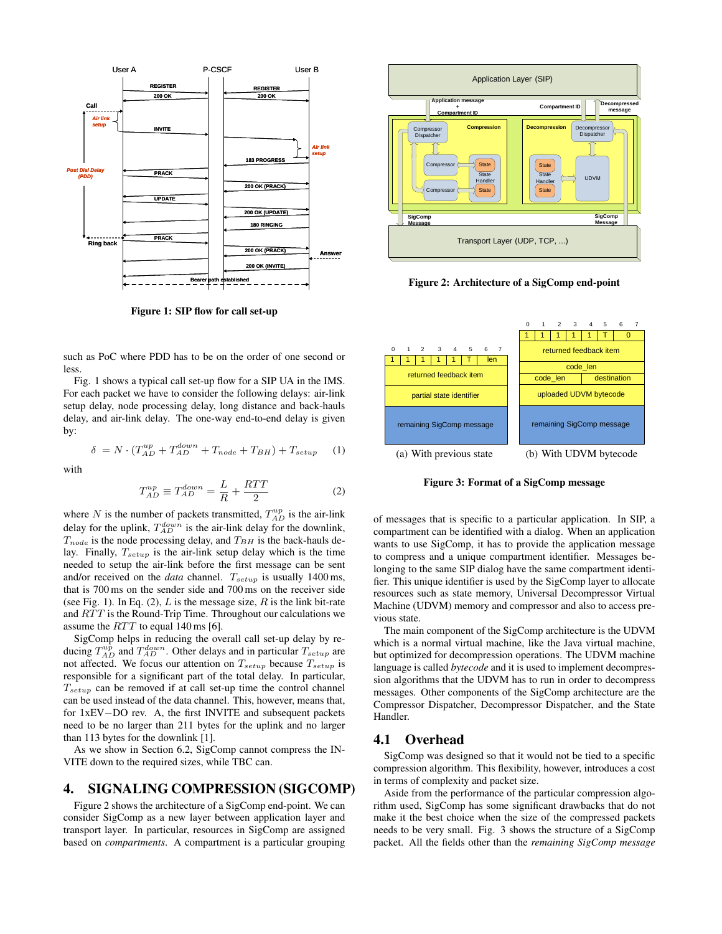

Figure 1: SIP flow for call set-up

such as PoC where PDD has to be on the order of one second or less.

Fig. 1 shows a typical call set-up flow for a SIP UA in the IMS. For each packet we have to consider the following delays: air-link setup delay, node processing delay, long distance and back-hauls delay, and air-link delay. The one-way end-to-end delay is given by:

$$
\delta = N \cdot (T_{AD}^{up} + T_{AD}^{down} + T_{node} + T_{BH}) + T_{setup} \tag{1}
$$

with

$$
T_{AD}^{up} \equiv T_{AD}^{down} = \frac{L}{R} + \frac{RTT}{2}
$$
 (2)

where N is the number of packets transmitted,  $T_{AD}^{up}$  is the air-link delay for the uplink,  $T_{AD}^{down}$  is the air-link delay for the downlink,  $T_{node}$  is the node processing delay, and  $T_{BH}$  is the back-hauls delay. Finally,  $T_{setup}$  is the air-link setup delay which is the time needed to setup the air-link before the first message can be sent and/or received on the *data* channel.  $T_{setup}$  is usually 1400 ms, that is 700 ms on the sender side and 700 ms on the receiver side (see Fig. 1). In Eq. (2),  $L$  is the message size,  $R$  is the link bit-rate and  $RTT$  is the Round-Trip Time. Throughout our calculations we assume the  $RTT$  to equal 140 ms [6].

SigComp helps in reducing the overall call set-up delay by reducing  $T_{AD}^{up}$  and  $T_{AD}^{down}$ . Other delays and in particular  $T_{setup}$  are not affected. We focus our attention on  $T_{setup}$  because  $T_{setup}$  is responsible for a significant part of the total delay. In particular,  $T_{setup}$  can be removed if at call set-up time the control channel can be used instead of the data channel. This, however, means that, for 1xEV−DO rev. A, the first INVITE and subsequent packets need to be no larger than 211 bytes for the uplink and no larger than 113 bytes for the downlink [1].

As we show in Section 6.2, SigComp cannot compress the IN-VITE down to the required sizes, while TBC can.

# 4. SIGNALING COMPRESSION (SIGCOMP)

Figure 2 shows the architecture of a SigComp end-point. We can consider SigComp as a new layer between application layer and transport layer. In particular, resources in SigComp are assigned based on *compartments*. A compartment is a particular grouping



Figure 2: Architecture of a SigComp end-point



Figure 3: Format of a SigComp message

of messages that is specific to a particular application. In SIP, a compartment can be identified with a dialog. When an application wants to use SigComp, it has to provide the application message to compress and a unique compartment identifier. Messages belonging to the same SIP dialog have the same compartment identifier. This unique identifier is used by the SigComp layer to allocate resources such as state memory, Universal Decompressor Virtual Machine (UDVM) memory and compressor and also to access previous state.

The main component of the SigComp architecture is the UDVM which is a normal virtual machine, like the Java virtual machine, but optimized for decompression operations. The UDVM machine language is called *bytecode* and it is used to implement decompression algorithms that the UDVM has to run in order to decompress messages. Other components of the SigComp architecture are the Compressor Dispatcher, Decompressor Dispatcher, and the State Handler.

#### 4.1 Overhead

SigComp was designed so that it would not be tied to a specific compression algorithm. This flexibility, however, introduces a cost in terms of complexity and packet size.

Aside from the performance of the particular compression algorithm used, SigComp has some significant drawbacks that do not make it the best choice when the size of the compressed packets needs to be very small. Fig. 3 shows the structure of a SigComp packet. All the fields other than the *remaining SigComp message*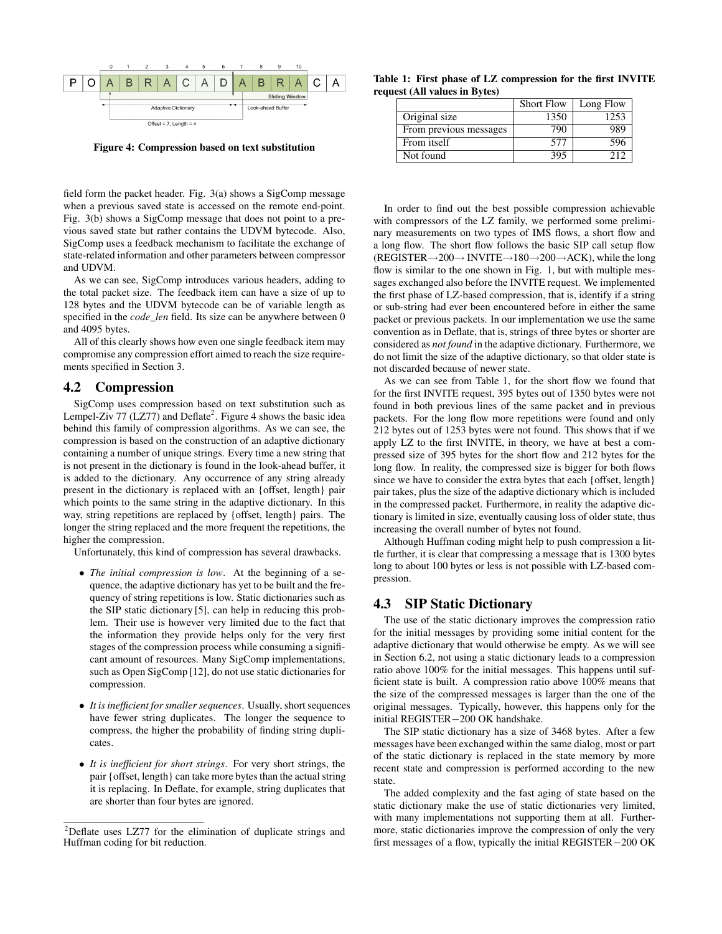

Figure 4: Compression based on text substitution

field form the packet header. Fig. 3(a) shows a SigComp message when a previous saved state is accessed on the remote end-point. Fig. 3(b) shows a SigComp message that does not point to a previous saved state but rather contains the UDVM bytecode. Also, SigComp uses a feedback mechanism to facilitate the exchange of state-related information and other parameters between compressor and UDVM.

As we can see, SigComp introduces various headers, adding to the total packet size. The feedback item can have a size of up to 128 bytes and the UDVM bytecode can be of variable length as specified in the *code\_len* field. Its size can be anywhere between 0 and 4095 bytes.

All of this clearly shows how even one single feedback item may compromise any compression effort aimed to reach the size requirements specified in Section 3.

### 4.2 Compression

SigComp uses compression based on text substitution such as Lempel-Ziv 77 (LZ77) and Deflate<sup>2</sup>. Figure 4 shows the basic idea behind this family of compression algorithms. As we can see, the compression is based on the construction of an adaptive dictionary containing a number of unique strings. Every time a new string that is not present in the dictionary is found in the look-ahead buffer, it is added to the dictionary. Any occurrence of any string already present in the dictionary is replaced with an {offset, length} pair which points to the same string in the adaptive dictionary. In this way, string repetitions are replaced by {offset, length} pairs. The longer the string replaced and the more frequent the repetitions, the higher the compression.

Unfortunately, this kind of compression has several drawbacks.

- *The initial compression is low*. At the beginning of a sequence, the adaptive dictionary has yet to be built and the frequency of string repetitions is low. Static dictionaries such as the SIP static dictionary [5], can help in reducing this problem. Their use is however very limited due to the fact that the information they provide helps only for the very first stages of the compression process while consuming a significant amount of resources. Many SigComp implementations, such as Open SigComp [12], do not use static dictionaries for compression.
- *It is inefficient for smaller sequences*. Usually, short sequences have fewer string duplicates. The longer the sequence to compress, the higher the probability of finding string duplicates.
- *It is inefficient for short strings*. For very short strings, the pair {offset, length} can take more bytes than the actual string it is replacing. In Deflate, for example, string duplicates that are shorter than four bytes are ignored.

|                               | Table 1: First phase of LZ compression for the first INVITE |  |  |
|-------------------------------|-------------------------------------------------------------|--|--|
| request (All values in Bytes) |                                                             |  |  |

|                        | <b>Short Flow</b> | Long Flow |
|------------------------|-------------------|-----------|
| Original size          | 1350              | 1253      |
| From previous messages | 790               | -985      |
| From itself            | 577               | - 59n     |
| Not found              | 395               | 211       |

In order to find out the best possible compression achievable with compressors of the LZ family, we performed some preliminary measurements on two types of IMS flows, a short flow and a long flow. The short flow follows the basic SIP call setup flow  $(REGISTER \rightarrow 200 \rightarrow INVITE \rightarrow 180 \rightarrow 200 \rightarrow ACK)$ , while the long flow is similar to the one shown in Fig. 1, but with multiple messages exchanged also before the INVITE request. We implemented the first phase of LZ-based compression, that is, identify if a string or sub-string had ever been encountered before in either the same packet or previous packets. In our implementation we use the same convention as in Deflate, that is, strings of three bytes or shorter are considered as *not found* in the adaptive dictionary. Furthermore, we do not limit the size of the adaptive dictionary, so that older state is not discarded because of newer state.

As we can see from Table 1, for the short flow we found that for the first INVITE request, 395 bytes out of 1350 bytes were not found in both previous lines of the same packet and in previous packets. For the long flow more repetitions were found and only 212 bytes out of 1253 bytes were not found. This shows that if we apply LZ to the first INVITE, in theory, we have at best a compressed size of 395 bytes for the short flow and 212 bytes for the long flow. In reality, the compressed size is bigger for both flows since we have to consider the extra bytes that each {offset, length} pair takes, plus the size of the adaptive dictionary which is included in the compressed packet. Furthermore, in reality the adaptive dictionary is limited in size, eventually causing loss of older state, thus increasing the overall number of bytes not found.

Although Huffman coding might help to push compression a little further, it is clear that compressing a message that is 1300 bytes long to about 100 bytes or less is not possible with LZ-based compression.

# 4.3 SIP Static Dictionary

The use of the static dictionary improves the compression ratio for the initial messages by providing some initial content for the adaptive dictionary that would otherwise be empty. As we will see in Section 6.2, not using a static dictionary leads to a compression ratio above 100% for the initial messages. This happens until sufficient state is built. A compression ratio above 100% means that the size of the compressed messages is larger than the one of the original messages. Typically, however, this happens only for the initial REGISTER−200 OK handshake.

The SIP static dictionary has a size of 3468 bytes. After a few messages have been exchanged within the same dialog, most or part of the static dictionary is replaced in the state memory by more recent state and compression is performed according to the new state.

The added complexity and the fast aging of state based on the static dictionary make the use of static dictionaries very limited, with many implementations not supporting them at all. Furthermore, static dictionaries improve the compression of only the very first messages of a flow, typically the initial REGISTER−200 OK

 $2$ Deflate uses LZ77 for the elimination of duplicate strings and Huffman coding for bit reduction.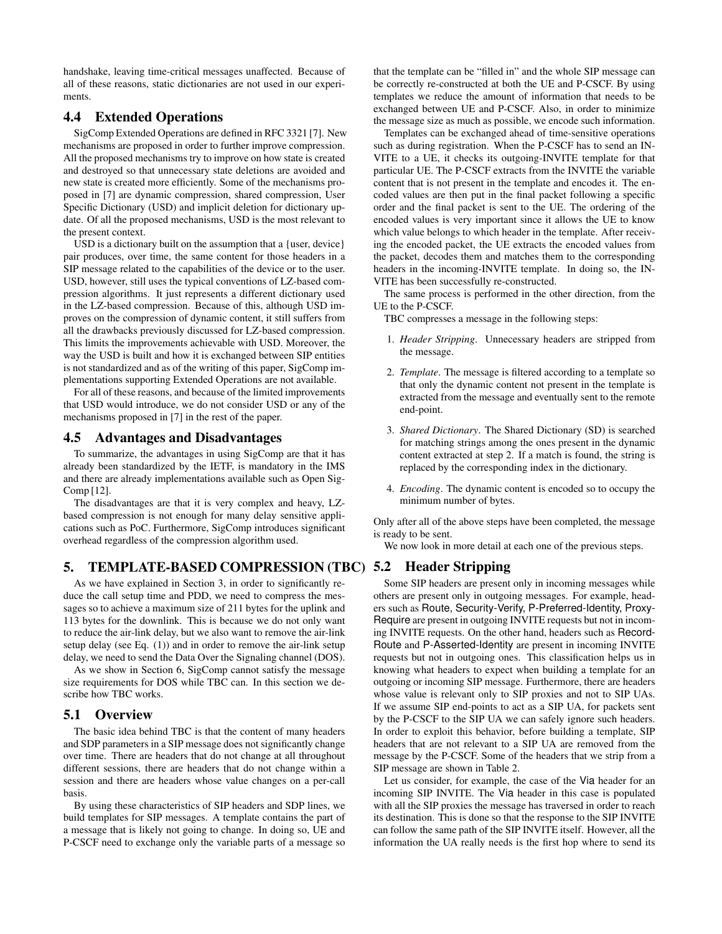handshake, leaving time-critical messages unaffected. Because of all of these reasons, static dictionaries are not used in our experiments.

# 4.4 Extended Operations

SigComp Extended Operations are defined in RFC 3321 [7]. New mechanisms are proposed in order to further improve compression. All the proposed mechanisms try to improve on how state is created and destroyed so that unnecessary state deletions are avoided and new state is created more efficiently. Some of the mechanisms proposed in [7] are dynamic compression, shared compression, User Specific Dictionary (USD) and implicit deletion for dictionary update. Of all the proposed mechanisms, USD is the most relevant to the present context.

USD is a dictionary built on the assumption that a {user, device} pair produces, over time, the same content for those headers in a SIP message related to the capabilities of the device or to the user. USD, however, still uses the typical conventions of LZ-based compression algorithms. It just represents a different dictionary used in the LZ-based compression. Because of this, although USD improves on the compression of dynamic content, it still suffers from all the drawbacks previously discussed for LZ-based compression. This limits the improvements achievable with USD. Moreover, the way the USD is built and how it is exchanged between SIP entities is not standardized and as of the writing of this paper, SigComp implementations supporting Extended Operations are not available.

For all of these reasons, and because of the limited improvements that USD would introduce, we do not consider USD or any of the mechanisms proposed in [7] in the rest of the paper.

# 4.5 Advantages and Disadvantages

To summarize, the advantages in using SigComp are that it has already been standardized by the IETF, is mandatory in the IMS and there are already implementations available such as Open Sig-Comp [12].

The disadvantages are that it is very complex and heavy, LZbased compression is not enough for many delay sensitive applications such as PoC. Furthermore, SigComp introduces significant overhead regardless of the compression algorithm used.

# 5. TEMPLATE-BASED COMPRESSION (TBC)

As we have explained in Section 3, in order to significantly reduce the call setup time and PDD, we need to compress the messages so to achieve a maximum size of 211 bytes for the uplink and 113 bytes for the downlink. This is because we do not only want to reduce the air-link delay, but we also want to remove the air-link setup delay (see Eq. (1)) and in order to remove the air-link setup delay, we need to send the Data Over the Signaling channel (DOS).

As we show in Section 6, SigComp cannot satisfy the message size requirements for DOS while TBC can. In this section we describe how TBC works.

#### 5.1 Overview

The basic idea behind TBC is that the content of many headers and SDP parameters in a SIP message does not significantly change over time. There are headers that do not change at all throughout different sessions, there are headers that do not change within a session and there are headers whose value changes on a per-call basis.

By using these characteristics of SIP headers and SDP lines, we build templates for SIP messages. A template contains the part of a message that is likely not going to change. In doing so, UE and P-CSCF need to exchange only the variable parts of a message so

that the template can be "filled in" and the whole SIP message can be correctly re-constructed at both the UE and P-CSCF. By using templates we reduce the amount of information that needs to be exchanged between UE and P-CSCF. Also, in order to minimize the message size as much as possible, we encode such information.

Templates can be exchanged ahead of time-sensitive operations such as during registration. When the P-CSCF has to send an IN-VITE to a UE, it checks its outgoing-INVITE template for that particular UE. The P-CSCF extracts from the INVITE the variable content that is not present in the template and encodes it. The encoded values are then put in the final packet following a specific order and the final packet is sent to the UE. The ordering of the encoded values is very important since it allows the UE to know which value belongs to which header in the template. After receiving the encoded packet, the UE extracts the encoded values from the packet, decodes them and matches them to the corresponding headers in the incoming-INVITE template. In doing so, the IN-VITE has been successfully re-constructed.

The same process is performed in the other direction, from the UE to the P-CSCF.

TBC compresses a message in the following steps:

- 1. *Header Stripping*. Unnecessary headers are stripped from the message.
- 2. *Template*. The message is filtered according to a template so that only the dynamic content not present in the template is extracted from the message and eventually sent to the remote end-point.
- 3. *Shared Dictionary*. The Shared Dictionary (SD) is searched for matching strings among the ones present in the dynamic content extracted at step 2. If a match is found, the string is replaced by the corresponding index in the dictionary.
- 4. *Encoding*. The dynamic content is encoded so to occupy the minimum number of bytes.

Only after all of the above steps have been completed, the message is ready to be sent.

We now look in more detail at each one of the previous steps.

## **Header Stripping**

Some SIP headers are present only in incoming messages while others are present only in outgoing messages. For example, headers such as Route, Security-Verify, P-Preferred-Identity, Proxy-Require are present in outgoing INVITE requests but not in incoming INVITE requests. On the other hand, headers such as Record-Route and P-Asserted-Identity are present in incoming INVITE requests but not in outgoing ones. This classification helps us in knowing what headers to expect when building a template for an outgoing or incoming SIP message. Furthermore, there are headers whose value is relevant only to SIP proxies and not to SIP UAs. If we assume SIP end-points to act as a SIP UA, for packets sent by the P-CSCF to the SIP UA we can safely ignore such headers. In order to exploit this behavior, before building a template, SIP headers that are not relevant to a SIP UA are removed from the message by the P-CSCF. Some of the headers that we strip from a SIP message are shown in Table 2.

Let us consider, for example, the case of the Via header for an incoming SIP INVITE. The Via header in this case is populated with all the SIP proxies the message has traversed in order to reach its destination. This is done so that the response to the SIP INVITE can follow the same path of the SIP INVITE itself. However, all the information the UA really needs is the first hop where to send its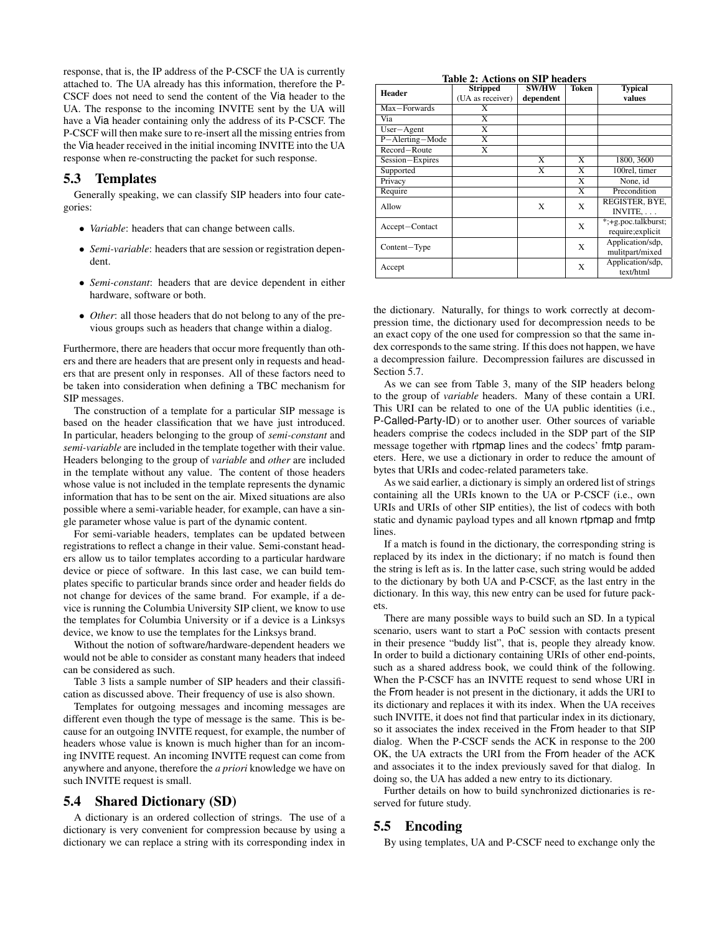response, that is, the IP address of the P-CSCF the UA is currently attached to. The UA already has this information, therefore the P-CSCF does not need to send the content of the Via header to the UA. The response to the incoming INVITE sent by the UA will have a Via header containing only the address of its P-CSCF. The P-CSCF will then make sure to re-insert all the missing entries from the Via header received in the initial incoming INVITE into the UA response when re-constructing the packet for such response.

# 5.3 Templates

Generally speaking, we can classify SIP headers into four categories:

- *Variable*: headers that can change between calls.
- *Semi-variable*: headers that are session or registration dependent.
- *Semi-constant*: headers that are device dependent in either hardware, software or both.
- *Other*: all those headers that do not belong to any of the previous groups such as headers that change within a dialog.

Furthermore, there are headers that occur more frequently than others and there are headers that are present only in requests and headers that are present only in responses. All of these factors need to be taken into consideration when defining a TBC mechanism for SIP messages.

The construction of a template for a particular SIP message is based on the header classification that we have just introduced. In particular, headers belonging to the group of *semi-constant* and *semi-variable* are included in the template together with their value. Headers belonging to the group of *variable* and *other* are included in the template without any value. The content of those headers whose value is not included in the template represents the dynamic information that has to be sent on the air. Mixed situations are also possible where a semi-variable header, for example, can have a single parameter whose value is part of the dynamic content.

For semi-variable headers, templates can be updated between registrations to reflect a change in their value. Semi-constant headers allow us to tailor templates according to a particular hardware device or piece of software. In this last case, we can build templates specific to particular brands since order and header fields do not change for devices of the same brand. For example, if a device is running the Columbia University SIP client, we know to use the templates for Columbia University or if a device is a Linksys device, we know to use the templates for the Linksys brand.

Without the notion of software/hardware-dependent headers we would not be able to consider as constant many headers that indeed can be considered as such.

Table 3 lists a sample number of SIP headers and their classification as discussed above. Their frequency of use is also shown.

Templates for outgoing messages and incoming messages are different even though the type of message is the same. This is because for an outgoing INVITE request, for example, the number of headers whose value is known is much higher than for an incoming INVITE request. An incoming INVITE request can come from anywhere and anyone, therefore the *a priori* knowledge we have on such INVITE request is small.

# 5.4 Shared Dictionary (SD)

A dictionary is an ordered collection of strings. The use of a dictionary is very convenient for compression because by using a dictionary we can replace a string with its corresponding index in

| Table 2: Actions on SIP neaders |                       |              |       |                     |  |  |  |
|---------------------------------|-----------------------|--------------|-------|---------------------|--|--|--|
| Header                          | <b>Stripped</b>       | <b>SW/HW</b> | Token | <b>Typical</b>      |  |  |  |
|                                 | (UA as receiver)      | dependent    |       | values              |  |  |  |
| Max-Forwards                    | X                     |              |       |                     |  |  |  |
| Via                             | X                     |              |       |                     |  |  |  |
| $User-Agent$                    | X                     |              |       |                     |  |  |  |
| P-Alerting-Mode                 | X                     |              |       |                     |  |  |  |
| Record-Route                    | $\overline{\text{X}}$ |              |       |                     |  |  |  |
| Session-Expires                 |                       | X            | X     | 1800, 3600          |  |  |  |
| Supported                       |                       | X            | X     | 100rel, timer       |  |  |  |
| Privacy                         |                       |              | X     | None, id            |  |  |  |
| Require                         |                       |              | X     | Precondition        |  |  |  |
| Allow                           |                       | X            | X     | REGISTER, BYE,      |  |  |  |
|                                 |                       |              |       | $INVITE, \ldots$    |  |  |  |
| Accept-Contact                  |                       |              | X     | *;+g.poc.talkburst; |  |  |  |
|                                 |                       |              |       | require; explicit   |  |  |  |
| Content-Type                    |                       |              | X     | Application/sdp,    |  |  |  |
|                                 |                       |              |       | mulitpart/mixed     |  |  |  |
| Accept                          |                       |              | X     | Application/sdp,    |  |  |  |
|                                 |                       |              |       | text/html           |  |  |  |

Table 2: Actions on SIP headers

the dictionary. Naturally, for things to work correctly at decompression time, the dictionary used for decompression needs to be an exact copy of the one used for compression so that the same index corresponds to the same string. If this does not happen, we have a decompression failure. Decompression failures are discussed in Section 5.7.

As we can see from Table 3, many of the SIP headers belong to the group of *variable* headers. Many of these contain a URI. This URI can be related to one of the UA public identities (i.e., P-Called-Party-ID) or to another user. Other sources of variable headers comprise the codecs included in the SDP part of the SIP message together with rtpmap lines and the codecs' fmtp parameters. Here, we use a dictionary in order to reduce the amount of bytes that URIs and codec-related parameters take.

As we said earlier, a dictionary is simply an ordered list of strings containing all the URIs known to the UA or P-CSCF (i.e., own URIs and URIs of other SIP entities), the list of codecs with both static and dynamic payload types and all known rtpmap and fmtp lines.

If a match is found in the dictionary, the corresponding string is replaced by its index in the dictionary; if no match is found then the string is left as is. In the latter case, such string would be added to the dictionary by both UA and P-CSCF, as the last entry in the dictionary. In this way, this new entry can be used for future packets.

There are many possible ways to build such an SD. In a typical scenario, users want to start a PoC session with contacts present in their presence "buddy list", that is, people they already know. In order to build a dictionary containing URIs of other end-points, such as a shared address book, we could think of the following. When the P-CSCF has an INVITE request to send whose URI in the From header is not present in the dictionary, it adds the URI to its dictionary and replaces it with its index. When the UA receives such INVITE, it does not find that particular index in its dictionary, so it associates the index received in the From header to that SIP dialog. When the P-CSCF sends the ACK in response to the 200 OK, the UA extracts the URI from the From header of the ACK and associates it to the index previously saved for that dialog. In doing so, the UA has added a new entry to its dictionary.

Further details on how to build synchronized dictionaries is reserved for future study.

# 5.5 Encoding

By using templates, UA and P-CSCF need to exchange only the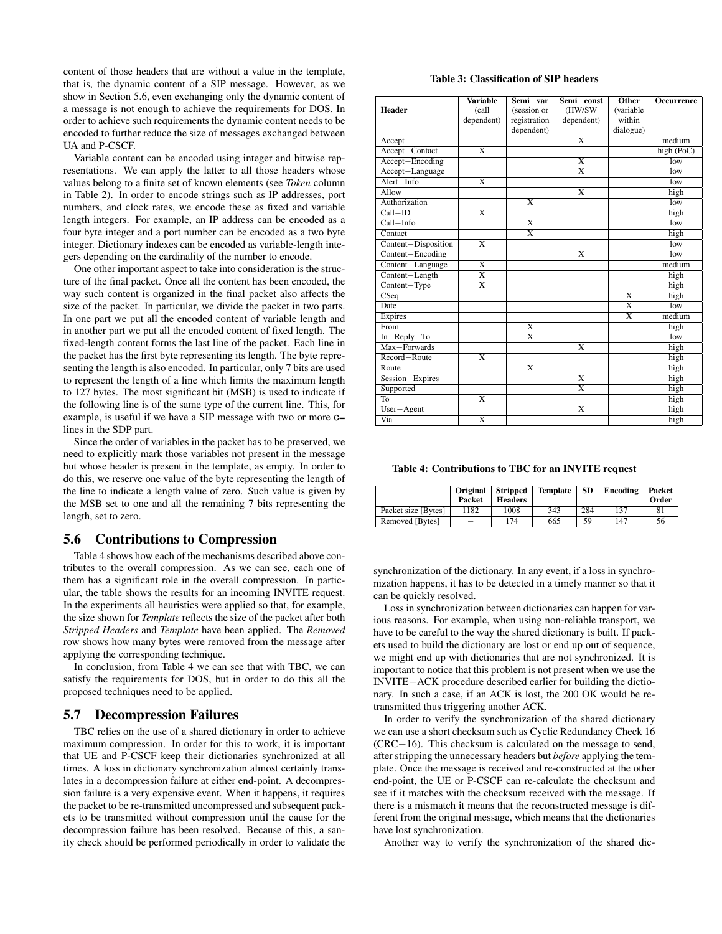content of those headers that are without a value in the template, that is, the dynamic content of a SIP message. However, as we show in Section 5.6, even exchanging only the dynamic content of a message is not enough to achieve the requirements for DOS. In order to achieve such requirements the dynamic content needs to be encoded to further reduce the size of messages exchanged between UA and P-CSCF.

Variable content can be encoded using integer and bitwise representations. We can apply the latter to all those headers whose values belong to a finite set of known elements (see *Token* column in Table 2). In order to encode strings such as IP addresses, port numbers, and clock rates, we encode these as fixed and variable length integers. For example, an IP address can be encoded as a four byte integer and a port number can be encoded as a two byte integer. Dictionary indexes can be encoded as variable-length integers depending on the cardinality of the number to encode.

One other important aspect to take into consideration is the structure of the final packet. Once all the content has been encoded, the way such content is organized in the final packet also affects the size of the packet. In particular, we divide the packet in two parts. In one part we put all the encoded content of variable length and in another part we put all the encoded content of fixed length. The fixed-length content forms the last line of the packet. Each line in the packet has the first byte representing its length. The byte representing the length is also encoded. In particular, only 7 bits are used to represent the length of a line which limits the maximum length to 127 bytes. The most significant bit (MSB) is used to indicate if the following line is of the same type of the current line. This, for example, is useful if we have a SIP message with two or more c= lines in the SDP part.

Since the order of variables in the packet has to be preserved, we need to explicitly mark those variables not present in the message but whose header is present in the template, as empty. In order to do this, we reserve one value of the byte representing the length of the line to indicate a length value of zero. Such value is given by the MSB set to one and all the remaining 7 bits representing the length, set to zero.

# 5.6 Contributions to Compression

Table 4 shows how each of the mechanisms described above contributes to the overall compression. As we can see, each one of them has a significant role in the overall compression. In particular, the table shows the results for an incoming INVITE request. In the experiments all heuristics were applied so that, for example, the size shown for *Template* reflects the size of the packet after both *Stripped Headers* and *Template* have been applied. The *Removed* row shows how many bytes were removed from the message after applying the corresponding technique.

In conclusion, from Table 4 we can see that with TBC, we can satisfy the requirements for DOS, but in order to do this all the proposed techniques need to be applied.

#### 5.7 Decompression Failures

TBC relies on the use of a shared dictionary in order to achieve maximum compression. In order for this to work, it is important that UE and P-CSCF keep their dictionaries synchronized at all times. A loss in dictionary synchronization almost certainly translates in a decompression failure at either end-point. A decompression failure is a very expensive event. When it happens, it requires the packet to be re-transmitted uncompressed and subsequent packets to be transmitted without compression until the cause for the decompression failure has been resolved. Because of this, a sanity check should be performed periodically in order to validate the

#### Table 3: Classification of SIP headers

|                                         | <b>Variable</b>         | Semi–var                | Semi-const              | Other                   | Occurrence       |
|-----------------------------------------|-------------------------|-------------------------|-------------------------|-------------------------|------------------|
| Header                                  | (call                   | (session or             | (HW/SW                  | (variable               |                  |
|                                         | dependent)              | registration            | dependent)              | within                  |                  |
|                                         |                         | dependent)              |                         | dialogue)               |                  |
| Accept                                  |                         |                         | $\overline{\text{X}}$   |                         | medium           |
| Accept-Contact                          | $\overline{\mathbf{x}}$ |                         |                         |                         | high (PoC)       |
| Accept-Encoding                         |                         |                         | $\overline{\mathbf{x}}$ |                         | low              |
| Accept-Language                         |                         |                         | $\overline{\text{X}}$   |                         | low              |
| Alert-Info                              | $\overline{X}$          |                         |                         |                         | low              |
| <b>Allow</b>                            |                         |                         | $\overline{\mathbf{x}}$ |                         | high             |
| Authorization                           |                         | $\overline{\text{X}}$   |                         |                         | <b>Tow</b>       |
| $Call$ -ID                              | $\overline{\mathbf{x}}$ |                         |                         |                         | high             |
| $Call$ -Info                            |                         | $\overline{\text{X}}$   |                         |                         | low              |
| Contact                                 |                         | $\overline{\mathrm{X}}$ |                         |                         | high             |
| Content-Disposition                     | $\overline{\mathbf{x}}$ |                         |                         |                         | low              |
| Content-Encoding                        |                         |                         | $\overline{\text{X}}$   |                         | low              |
| Content-Language                        | $\overline{X}$          |                         |                         |                         | medium           |
| Content-Length                          | $\overline{\text{X}}$   |                         |                         |                         | high             |
| $\overline{\text{Content}-\text{Type}}$ | $\overline{\text{X}}$   |                         |                         |                         | high             |
| CSeq                                    |                         |                         |                         | $\overline{X}$          | high             |
| Date                                    |                         |                         |                         | $\overline{\text{X}}$   | $\overline{low}$ |
| Expires                                 |                         |                         |                         | $\overline{\mathbf{X}}$ | medium           |
| From                                    |                         | $\overline{\mathrm{x}}$ |                         |                         | high             |
| $In-Reply-To$                           |                         | $\overline{\text{X}}$   |                         |                         | low              |
| Max-Forwards                            |                         |                         | $\overline{X}$          |                         | high             |
| Record-Route                            | $\overline{\mathbf{x}}$ |                         |                         |                         | high             |
| Route                                   |                         | $\overline{\text{x}}$   |                         |                         | high             |
| Session-Expires                         |                         |                         | $\overline{\mathbf{x}}$ |                         | high             |
| Supported                               |                         |                         | $\overline{\text{X}}$   |                         | high             |
| To                                      | X                       |                         |                         |                         | high             |
| User-Agent                              |                         |                         | $\overline{\text{x}}$   |                         | high             |
| Via                                     | $\overline{\text{X}}$   |                         |                         |                         | high             |

Table 4: Contributions to TBC for an INVITE request

|                     | <b>Original</b><br>Packet | <b>Stripped</b><br><b>Headers</b> | <b>Template</b> | <b>SD</b> | Encoding | Packet<br>Order |
|---------------------|---------------------------|-----------------------------------|-----------------|-----------|----------|-----------------|
| Packet size [Bytes] | 182                       | 1008                              | 343             | 284       | 137      | 81              |
| Removed [Bytes]     | $\overline{\phantom{0}}$  | 174                               | 665             | 59        | 147      | 56              |

synchronization of the dictionary. In any event, if a loss in synchronization happens, it has to be detected in a timely manner so that it can be quickly resolved.

Loss in synchronization between dictionaries can happen for various reasons. For example, when using non-reliable transport, we have to be careful to the way the shared dictionary is built. If packets used to build the dictionary are lost or end up out of sequence, we might end up with dictionaries that are not synchronized. It is important to notice that this problem is not present when we use the INVITE−ACK procedure described earlier for building the dictionary. In such a case, if an ACK is lost, the 200 OK would be retransmitted thus triggering another ACK.

In order to verify the synchronization of the shared dictionary we can use a short checksum such as Cyclic Redundancy Check 16 (CRC−16). This checksum is calculated on the message to send, after stripping the unnecessary headers but *before* applying the template. Once the message is received and re-constructed at the other end-point, the UE or P-CSCF can re-calculate the checksum and see if it matches with the checksum received with the message. If there is a mismatch it means that the reconstructed message is different from the original message, which means that the dictionaries have lost synchronization.

Another way to verify the synchronization of the shared dic-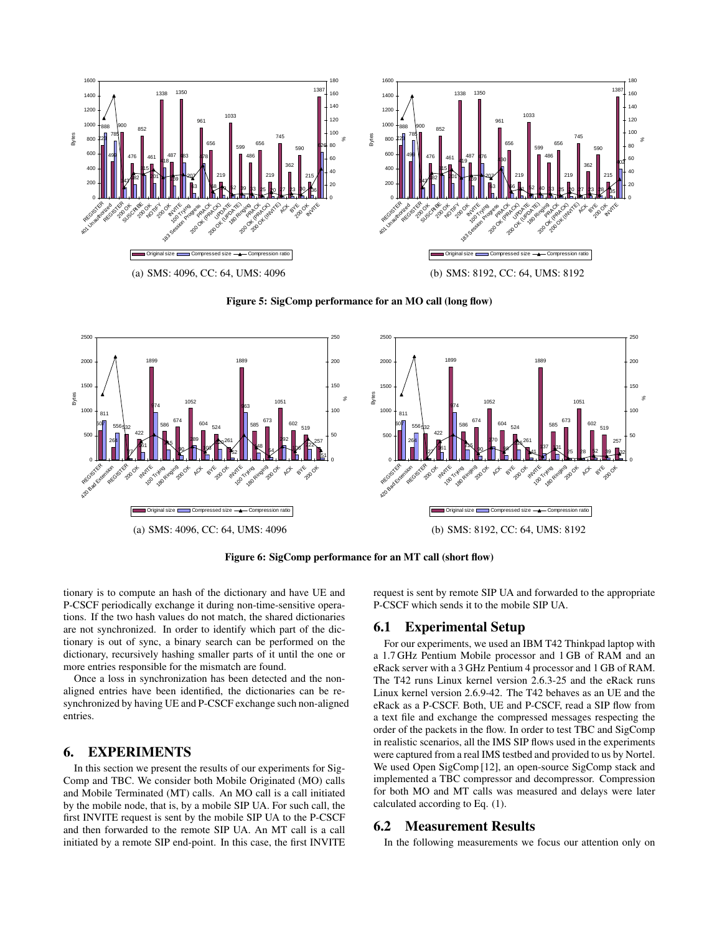

Figure 5: SigComp performance for an MO call (long flow)



Figure 6: SigComp performance for an MT call (short flow)

tionary is to compute an hash of the dictionary and have UE and P-CSCF periodically exchange it during non-time-sensitive operations. If the two hash values do not match, the shared dictionaries are not synchronized. In order to identify which part of the dictionary is out of sync, a binary search can be performed on the dictionary, recursively hashing smaller parts of it until the one or more entries responsible for the mismatch are found.

Once a loss in synchronization has been detected and the nonaligned entries have been identified, the dictionaries can be resynchronized by having UE and P-CSCF exchange such non-aligned entries.

# 6. EXPERIMENTS

In this section we present the results of our experiments for Sig-Comp and TBC. We consider both Mobile Originated (MO) calls and Mobile Terminated (MT) calls. An MO call is a call initiated by the mobile node, that is, by a mobile SIP UA. For such call, the first INVITE request is sent by the mobile SIP UA to the P-CSCF and then forwarded to the remote SIP UA. An MT call is a call initiated by a remote SIP end-point. In this case, the first INVITE request is sent by remote SIP UA and forwarded to the appropriate P-CSCF which sends it to the mobile SIP UA.

## 6.1 Experimental Setup

For our experiments, we used an IBM T42 Thinkpad laptop with a 1.7 GHz Pentium Mobile processor and 1 GB of RAM and an eRack server with a 3 GHz Pentium 4 processor and 1 GB of RAM. The T42 runs Linux kernel version 2.6.3-25 and the eRack runs Linux kernel version 2.6.9-42. The T42 behaves as an UE and the eRack as a P-CSCF. Both, UE and P-CSCF, read a SIP flow from a text file and exchange the compressed messages respecting the order of the packets in the flow. In order to test TBC and SigComp in realistic scenarios, all the IMS SIP flows used in the experiments were captured from a real IMS testbed and provided to us by Nortel. We used Open SigComp [12], an open-source SigComp stack and implemented a TBC compressor and decompressor. Compression for both MO and MT calls was measured and delays were later calculated according to Eq. (1).

# 6.2 Measurement Results

In the following measurements we focus our attention only on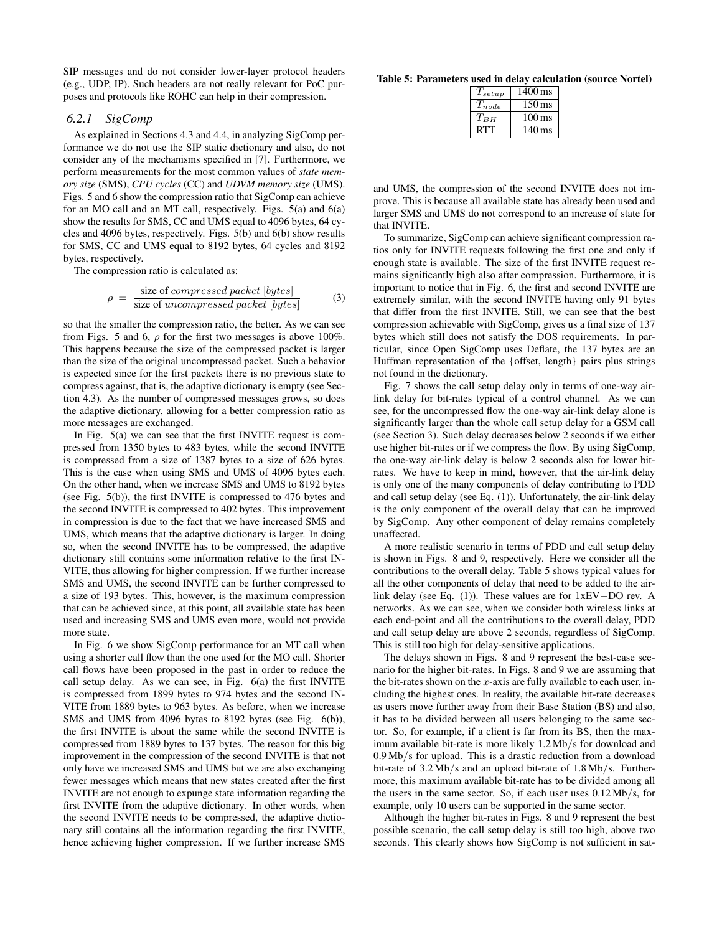SIP messages and do not consider lower-layer protocol headers (e.g., UDP, IP). Such headers are not really relevant for PoC purposes and protocols like ROHC can help in their compression.

#### *6.2.1 SigComp*

As explained in Sections 4.3 and 4.4, in analyzing SigComp performance we do not use the SIP static dictionary and also, do not consider any of the mechanisms specified in [7]. Furthermore, we perform measurements for the most common values of *state memory size* (SMS), *CPU cycles* (CC) and *UDVM memory size* (UMS). Figs. 5 and 6 show the compression ratio that SigComp can achieve for an MO call and an MT call, respectively. Figs. 5(a) and 6(a) show the results for SMS, CC and UMS equal to 4096 bytes, 64 cycles and 4096 bytes, respectively. Figs. 5(b) and 6(b) show results for SMS, CC and UMS equal to 8192 bytes, 64 cycles and 8192 bytes, respectively.

The compression ratio is calculated as:

$$
\rho = \frac{\text{size of compressed packet [bytes]}}{\text{size of uncompressed packet [bytes]}}
$$
(3)

so that the smaller the compression ratio, the better. As we can see from Figs. 5 and 6,  $\rho$  for the first two messages is above 100%. This happens because the size of the compressed packet is larger than the size of the original uncompressed packet. Such a behavior is expected since for the first packets there is no previous state to compress against, that is, the adaptive dictionary is empty (see Section 4.3). As the number of compressed messages grows, so does the adaptive dictionary, allowing for a better compression ratio as more messages are exchanged.

In Fig. 5(a) we can see that the first INVITE request is compressed from 1350 bytes to 483 bytes, while the second INVITE is compressed from a size of 1387 bytes to a size of 626 bytes. This is the case when using SMS and UMS of 4096 bytes each. On the other hand, when we increase SMS and UMS to 8192 bytes (see Fig. 5(b)), the first INVITE is compressed to 476 bytes and the second INVITE is compressed to 402 bytes. This improvement in compression is due to the fact that we have increased SMS and UMS, which means that the adaptive dictionary is larger. In doing so, when the second INVITE has to be compressed, the adaptive dictionary still contains some information relative to the first IN-VITE, thus allowing for higher compression. If we further increase SMS and UMS, the second INVITE can be further compressed to a size of 193 bytes. This, however, is the maximum compression that can be achieved since, at this point, all available state has been used and increasing SMS and UMS even more, would not provide more state.

In Fig. 6 we show SigComp performance for an MT call when using a shorter call flow than the one used for the MO call. Shorter call flows have been proposed in the past in order to reduce the call setup delay. As we can see, in Fig. 6(a) the first INVITE is compressed from 1899 bytes to 974 bytes and the second IN-VITE from 1889 bytes to 963 bytes. As before, when we increase SMS and UMS from 4096 bytes to 8192 bytes (see Fig. 6(b)), the first INVITE is about the same while the second INVITE is compressed from 1889 bytes to 137 bytes. The reason for this big improvement in the compression of the second INVITE is that not only have we increased SMS and UMS but we are also exchanging fewer messages which means that new states created after the first INVITE are not enough to expunge state information regarding the first INVITE from the adaptive dictionary. In other words, when the second INVITE needs to be compressed, the adaptive dictionary still contains all the information regarding the first INVITE, hence achieving higher compression. If we further increase SMS

#### Table 5: Parameters used in delay calculation (source Nortel)

| $I_{setup}$ | 1400 ms             |
|-------------|---------------------|
| $1_{node}$  | $150 \,\mathrm{ms}$ |
| $T_{BH}$    | $100 \,\mathrm{ms}$ |
| RTT         | 140 ms              |

and UMS, the compression of the second INVITE does not improve. This is because all available state has already been used and larger SMS and UMS do not correspond to an increase of state for that INVITE.

To summarize, SigComp can achieve significant compression ratios only for INVITE requests following the first one and only if enough state is available. The size of the first INVITE request remains significantly high also after compression. Furthermore, it is important to notice that in Fig. 6, the first and second INVITE are extremely similar, with the second INVITE having only 91 bytes that differ from the first INVITE. Still, we can see that the best compression achievable with SigComp, gives us a final size of 137 bytes which still does not satisfy the DOS requirements. In particular, since Open SigComp uses Deflate, the 137 bytes are an Huffman representation of the {offset, length} pairs plus strings not found in the dictionary.

Fig. 7 shows the call setup delay only in terms of one-way airlink delay for bit-rates typical of a control channel. As we can see, for the uncompressed flow the one-way air-link delay alone is significantly larger than the whole call setup delay for a GSM call (see Section 3). Such delay decreases below 2 seconds if we either use higher bit-rates or if we compress the flow. By using SigComp, the one-way air-link delay is below 2 seconds also for lower bitrates. We have to keep in mind, however, that the air-link delay is only one of the many components of delay contributing to PDD and call setup delay (see Eq. (1)). Unfortunately, the air-link delay is the only component of the overall delay that can be improved by SigComp. Any other component of delay remains completely unaffected.

A more realistic scenario in terms of PDD and call setup delay is shown in Figs. 8 and 9, respectively. Here we consider all the contributions to the overall delay. Table 5 shows typical values for all the other components of delay that need to be added to the airlink delay (see Eq. (1)). These values are for 1xEV−DO rev. A networks. As we can see, when we consider both wireless links at each end-point and all the contributions to the overall delay, PDD and call setup delay are above 2 seconds, regardless of SigComp. This is still too high for delay-sensitive applications.

The delays shown in Figs. 8 and 9 represent the best-case scenario for the higher bit-rates. In Figs. 8 and 9 we are assuming that the bit-rates shown on the  $x$ -axis are fully available to each user, including the highest ones. In reality, the available bit-rate decreases as users move further away from their Base Station (BS) and also, it has to be divided between all users belonging to the same sector. So, for example, if a client is far from its BS, then the maximum available bit-rate is more likely 1.2 Mb/s for download and 0.9 Mb/s for upload. This is a drastic reduction from a download bit-rate of 3.2 Mb/s and an upload bit-rate of 1.8 Mb/s. Furthermore, this maximum available bit-rate has to be divided among all the users in the same sector. So, if each user uses 0.12 Mb/s, for example, only 10 users can be supported in the same sector.

Although the higher bit-rates in Figs. 8 and 9 represent the best possible scenario, the call setup delay is still too high, above two seconds. This clearly shows how SigComp is not sufficient in sat-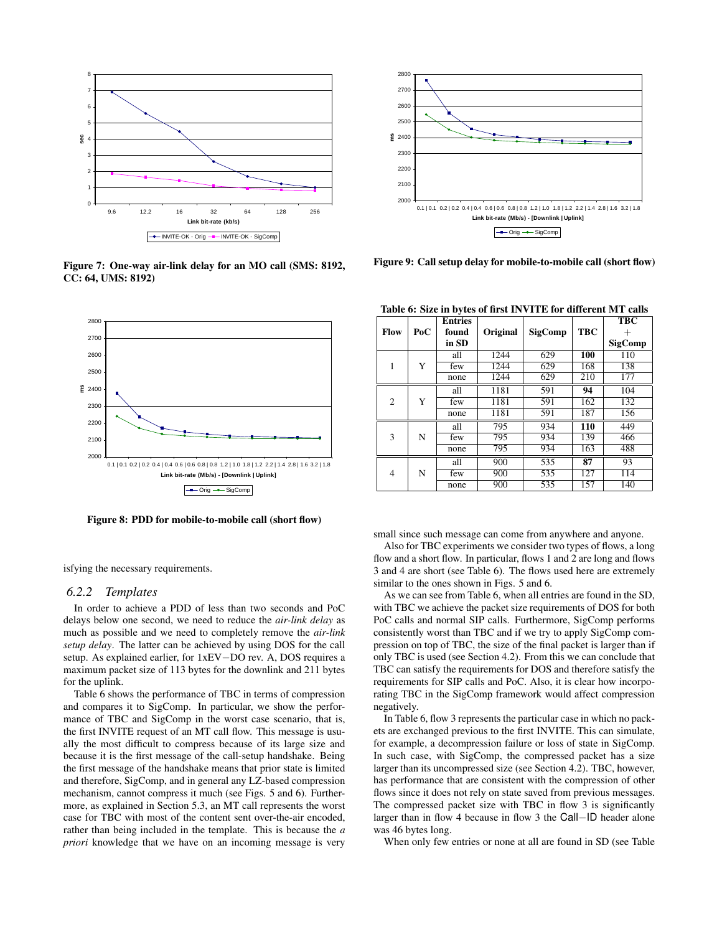

Figure 7: One-way air-link delay for an MO call (SMS: 8192, CC: 64, UMS: 8192)



Figure 8: PDD for mobile-to-mobile call (short flow)

isfying the necessary requirements.

#### *6.2.2 Templates*

In order to achieve a PDD of less than two seconds and PoC delays below one second, we need to reduce the *air-link delay* as much as possible and we need to completely remove the *air-link setup delay*. The latter can be achieved by using DOS for the call setup. As explained earlier, for 1xEV−DO rev. A, DOS requires a maximum packet size of 113 bytes for the downlink and 211 bytes for the uplink.

Table 6 shows the performance of TBC in terms of compression and compares it to SigComp. In particular, we show the performance of TBC and SigComp in the worst case scenario, that is, the first INVITE request of an MT call flow. This message is usually the most difficult to compress because of its large size and because it is the first message of the call-setup handshake. Being the first message of the handshake means that prior state is limited and therefore, SigComp, and in general any LZ-based compression mechanism, cannot compress it much (see Figs. 5 and 6). Furthermore, as explained in Section 5.3, an MT call represents the worst case for TBC with most of the content sent over-the-air encoded, rather than being included in the template. This is because the *a priori* knowledge that we have on an incoming message is very



Figure 9: Call setup delay for mobile-to-mobile call (short flow)

Table 6: Size in bytes of first INVITE for different MT calls

|                |     | <b>Entries</b> |          |         |                 | <b>TBC</b> |
|----------------|-----|----------------|----------|---------|-----------------|------------|
| Flow           | PoC | found          | Original | SigComp | <b>TBC</b>      |            |
|                |     | in SD          |          |         |                 | SigComp    |
|                |     | all            | 1244     | 629     | 100             | 110        |
| 1              | Y   | few            | 1244     | 629     | 168             | 138        |
|                |     | none           | 1244     | 629     | 210             | 177        |
|                |     | all            | 1181     | 591     | 94              | 104        |
| $\overline{2}$ | Y   | few            | 1181     | 591     | 162             | 132        |
|                |     | none           | 1181     | 591     | 187             | 156        |
|                |     | all            | 795      | 934     | 110             | 449        |
| 3              | N   | few            | 795      | 934     | 139             | 466        |
|                |     | none           | 795      | 934     | 163             | 488        |
|                |     | all            | 900      | 535     | $\overline{87}$ | 93         |
| $\overline{4}$ | N   | few            | 900      | 535     | 127             | 114        |
|                |     | none           | 900      | 535     | 157             | 140        |

small since such message can come from anywhere and anyone.

Also for TBC experiments we consider two types of flows, a long flow and a short flow. In particular, flows 1 and 2 are long and flows 3 and 4 are short (see Table 6). The flows used here are extremely similar to the ones shown in Figs. 5 and 6.

As we can see from Table 6, when all entries are found in the SD, with TBC we achieve the packet size requirements of DOS for both PoC calls and normal SIP calls. Furthermore, SigComp performs consistently worst than TBC and if we try to apply SigComp compression on top of TBC, the size of the final packet is larger than if only TBC is used (see Section 4.2). From this we can conclude that TBC can satisfy the requirements for DOS and therefore satisfy the requirements for SIP calls and PoC. Also, it is clear how incorporating TBC in the SigComp framework would affect compression negatively.

In Table 6, flow 3 represents the particular case in which no packets are exchanged previous to the first INVITE. This can simulate, for example, a decompression failure or loss of state in SigComp. In such case, with SigComp, the compressed packet has a size larger than its uncompressed size (see Section 4.2). TBC, however, has performance that are consistent with the compression of other flows since it does not rely on state saved from previous messages. The compressed packet size with TBC in flow 3 is significantly larger than in flow 4 because in flow 3 the Call−ID header alone was 46 bytes long.

When only few entries or none at all are found in SD (see Table